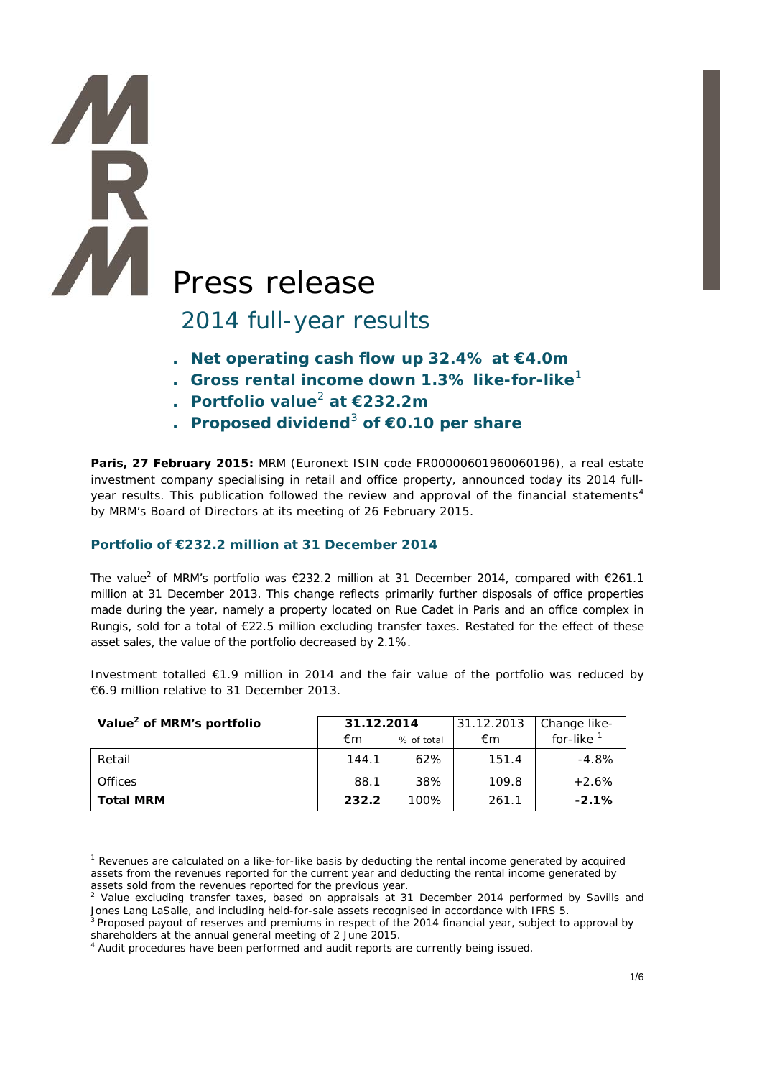# **AN** Press release

# 2014 full-year results

- **. Net operating cash flow up 32.4% at €4.0m**
- **. Gross rental income down 1.3% like-for-like**[1](#page-0-0)
- **. Portfolio value**[2](#page-0-1) **at €232.2m**
- **. Proposed dividend**[3](#page-0-2) **of €0.10 per share**

**Paris, 27 February 2015:** MRM (Euronext ISIN code FR00000601960060196), a real estate investment company specialising in retail and office property, announced today its 2014 full-year results. This publication followed the review and approval of the financial statements<sup>[4](#page-0-3)</sup> by MRM's Board of Directors at its meeting of 26 February 2015.

#### **Portfolio of €232.2 million at 31 December 2014**

-

**TA** 

The value<sup>2</sup> of MRM's portfolio was €232.2 million at 31 December 2014, compared with €261.1 million at 31 December 2013. This change reflects primarily further disposals of office properties made during the year, namely a property located on Rue Cadet in Paris and an office complex in Rungis, sold for a total of €22.5 million excluding transfer taxes. Restated for the effect of these asset sales, the value of the portfolio decreased by 2.1%.

Investment totalled €1.9 million in 2014 and the fair value of the portfolio was reduced by €6.9 million relative to 31 December 2013.

| Value <sup>2</sup> of MRM's portfolio | 31.12.2014 |            | 31.12.2013 | Change like- |
|---------------------------------------|------------|------------|------------|--------------|
|                                       | €m         | % of total | €m         | for-like     |
| Retail                                | 144.1      | 62%        | 151.4      | $-4.8\%$     |
| <b>Offices</b>                        | 88.1       | 38%        | 109.8      | $+2.6%$      |
| <b>Total MRM</b>                      | 232.2      | $100\%$    | 261.1      | $-2.1%$      |

<span id="page-0-0"></span> $1$  Revenues are calculated on a like-for-like basis by deducting the rental income generated by acquired assets from the revenues reported for the current year and deducting the rental income generated by assets sold from the revenues reported for the previous year.

<span id="page-0-1"></span> $2$  Value excluding transfer taxes, based on appraisals at 31 December 2014 performed by Savills and Jones Lang LaSalle, and including held-for-sale assets recognised in accordance with IFRS 5.

<span id="page-0-2"></span><sup>&</sup>lt;sup>3</sup> Proposed payout of reserves and premiums in respect of the 2014 financial year, subject to approval by shareholders at the annual general meeting of 2 June 2015.

<span id="page-0-3"></span><sup>&</sup>lt;sup>4</sup> Audit procedures have been performed and audit reports are currently being issued.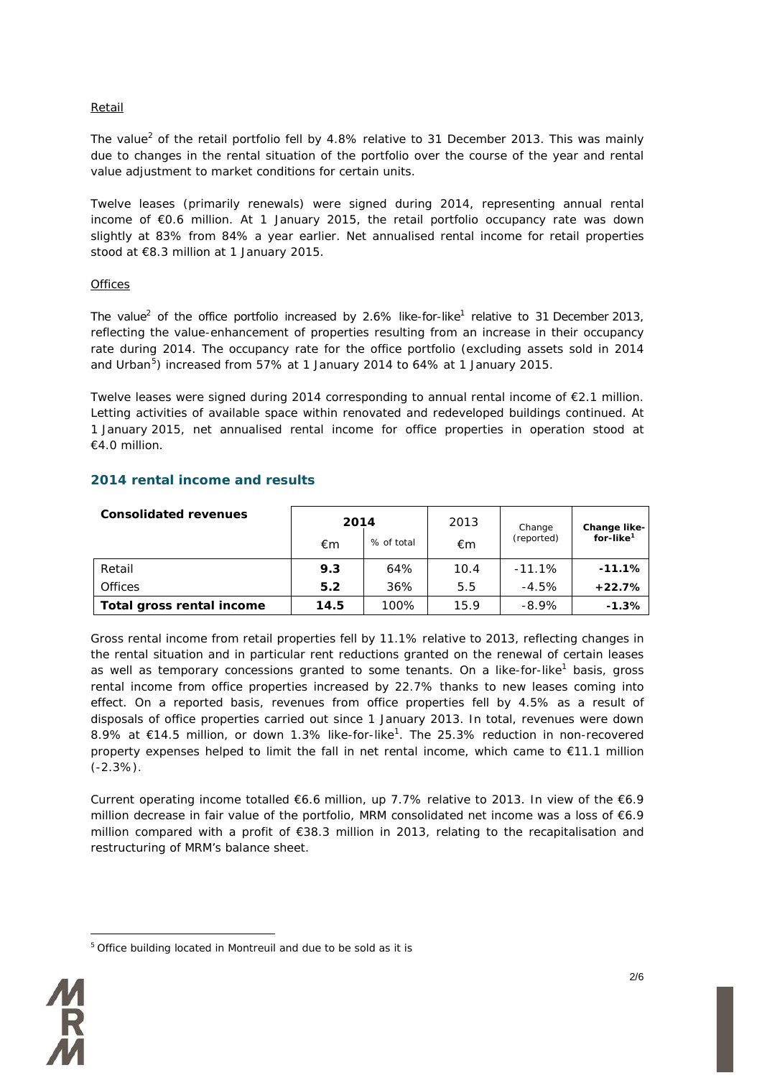#### Retail

The value<sup>2</sup> of the retail portfolio fell by  $4.8\%$  relative to 31 December 2013. This was mainly due to changes in the rental situation of the portfolio over the course of the year and rental value adjustment to market conditions for certain units.

Twelve leases (primarily renewals) were signed during 2014, representing annual rental income of €0.6 million. At 1 January 2015, the retail portfolio occupancy rate was down slightly at 83% from 84% a year earlier. Net annualised rental income for retail properties stood at €8.3 million at 1 January 2015.

#### **Offices**

The value<sup>2</sup> of the office portfolio increased by 2.6% like-for-like<sup>1</sup> relative to 31 December 2013, reflecting the value-enhancement of properties resulting from an increase in their occupancy rate during 2014. The occupancy rate for the office portfolio (excluding assets sold in 2014 and Urban<sup>[5](#page-1-0)</sup>) increased from 57% at 1 January 2014 to 64% at 1 January 2015.

Twelve leases were signed during 2014 corresponding to annual rental income of €2.1 million. Letting activities of available space within renovated and redeveloped buildings continued. At 1 January 2015, net annualised rental income for office properties in operation stood at €4.0 million.

### **2014 rental income and results**

| <b>Consolidated revenues</b> | 2014 |            | 2013 | Change     |                                       |  |
|------------------------------|------|------------|------|------------|---------------------------------------|--|
|                              | €m   | % of total | €m   | (reported) | Change like-<br>for-like <sup>1</sup> |  |
| Retail                       | 9.3  | 64%        | 10.4 | $-11.1\%$  | $-11.1\%$                             |  |
| <b>Offices</b>               | 5.2  | 36%        | 5.5  | $-4.5%$    | $+22.7%$                              |  |
| Total gross rental income    | 14.5 | 100%       | 15.9 | $-8.9\%$   | $-1.3\%$                              |  |

Gross rental income from retail properties fell by 11.1% relative to 2013, reflecting changes in the rental situation and in particular rent reductions granted on the renewal of certain leases as well as temporary concessions granted to some tenants. On a like-for-like<sup>1</sup> basis, gross rental income from office properties increased by 22.7% thanks to new leases coming into effect. On a reported basis, revenues from office properties fell by 4.5% as a result of disposals of office properties carried out since 1 January 2013. In total, revenues were down 8.9% at €14.5 million, or down 1.3% like-for-like<sup>1</sup>. The 25.3% reduction in non-recovered property expenses helped to limit the fall in net rental income, which came to €11.1 million  $(-2.3\%)$ .

Current operating income totalled €6.6 million, up 7.7% relative to 2013. In view of the €6.9 million decrease in fair value of the portfolio, MRM consolidated net income was a loss of €6.9 million compared with a profit of €38.3 million in 2013, relating to the recapitalisation and restructuring of MRM's balance sheet.

<span id="page-1-0"></span><sup>&</sup>lt;u>.</u> <sup>5</sup> Office building located in Montreuil and due to be sold as it is

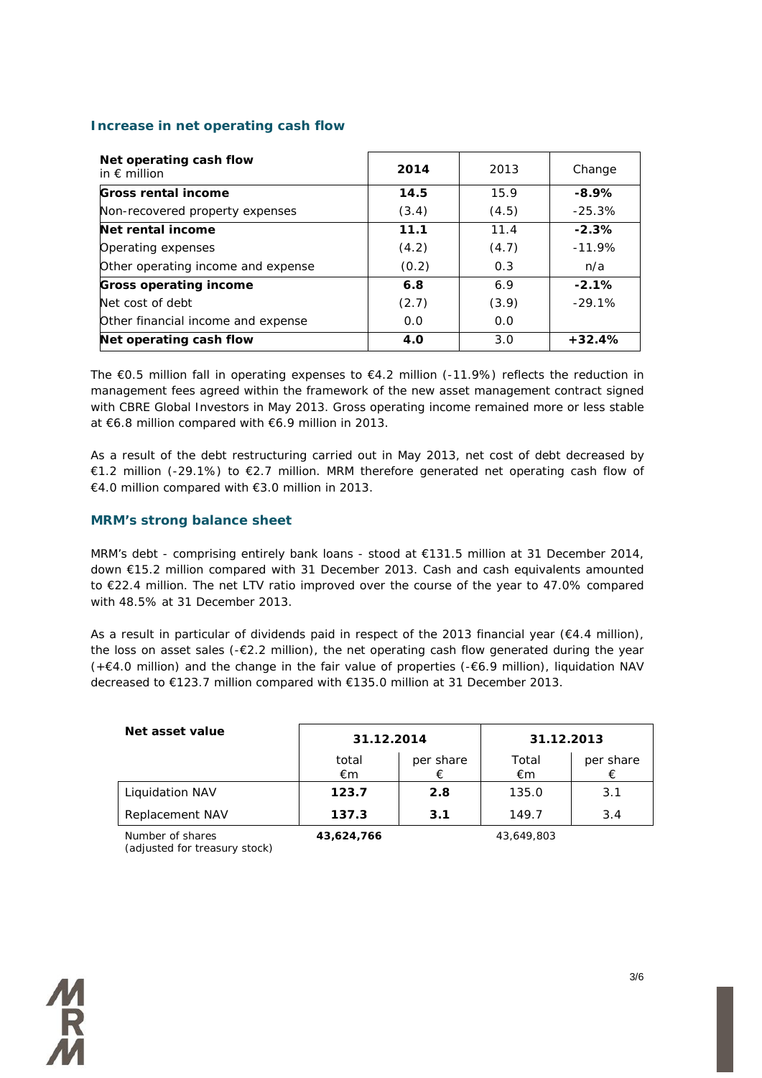# **Increase in net operating cash flow**

| Net operating cash flow<br>in $\epsilon$ million | 2014       | 2013  | Change    |
|--------------------------------------------------|------------|-------|-----------|
| Gross rental income                              | 14.5       | 15.9  | $-8.9%$   |
| Non-recovered property expenses                  | (3.4)      | (4.5) | $-25.3\%$ |
| Net rental income                                | 11.1       | 11.4  | $-2.3%$   |
| Operating expenses                               | (4.2)      | (4.7) | $-11.9%$  |
| Other operating income and expense               | (0.2)      | 0.3   | n/a       |
| <b>Gross operating income</b>                    | 6.8        | 6.9   | $-2.1%$   |
| Net cost of debt                                 | (2.7)      | (3.9) | $-29.1%$  |
| Other financial income and expense               | 0.0        | 0.0   |           |
| Net operating cash flow                          | <b>4.0</b> | 3.0   | $+32.4%$  |

The €0.5 million fall in operating expenses to €4.2 million (-11.9%) reflects the reduction in management fees agreed within the framework of the new asset management contract signed with CBRE Global Investors in May 2013. Gross operating income remained more or less stable at €6.8 million compared with €6.9 million in 2013.

As a result of the debt restructuring carried out in May 2013, net cost of debt decreased by €1.2 million (-29.1%) to €2.7 million. MRM therefore generated net operating cash flow of €4.0 million compared with €3.0 million in 2013.

# **MRM's strong balance sheet**

MRM's debt - comprising entirely bank loans - stood at €131.5 million at 31 December 2014, down €15.2 million compared with 31 December 2013. Cash and cash equivalents amounted to €22.4 million. The net LTV ratio improved over the course of the year to 47.0% compared with 48.5% at 31 December 2013.

As a result in particular of dividends paid in respect of the 2013 financial year ( $E4.4$  million), the loss on asset sales (-€2.2 million), the net operating cash flow generated during the year (+€4.0 million) and the change in the fair value of properties (-€6.9 million), liquidation NAV decreased to €123.7 million compared with €135.0 million at 31 December 2013.

| Net asset value        | 31.12.2014  |           | 31.12.2013  |           |  |
|------------------------|-------------|-----------|-------------|-----------|--|
|                        | total<br>€m | per share | Total<br>€m | per share |  |
| <b>Liquidation NAV</b> | 123.7       | 2.8       | 135.0       | 3.1       |  |
| Replacement NAV        | 137.3       | 3.1       | 149.7       | 3.4       |  |
| Number of shares       | 43,624,766  |           | 43,649,803  |           |  |

*Number of shares (adjusted for treasury stock)*

人民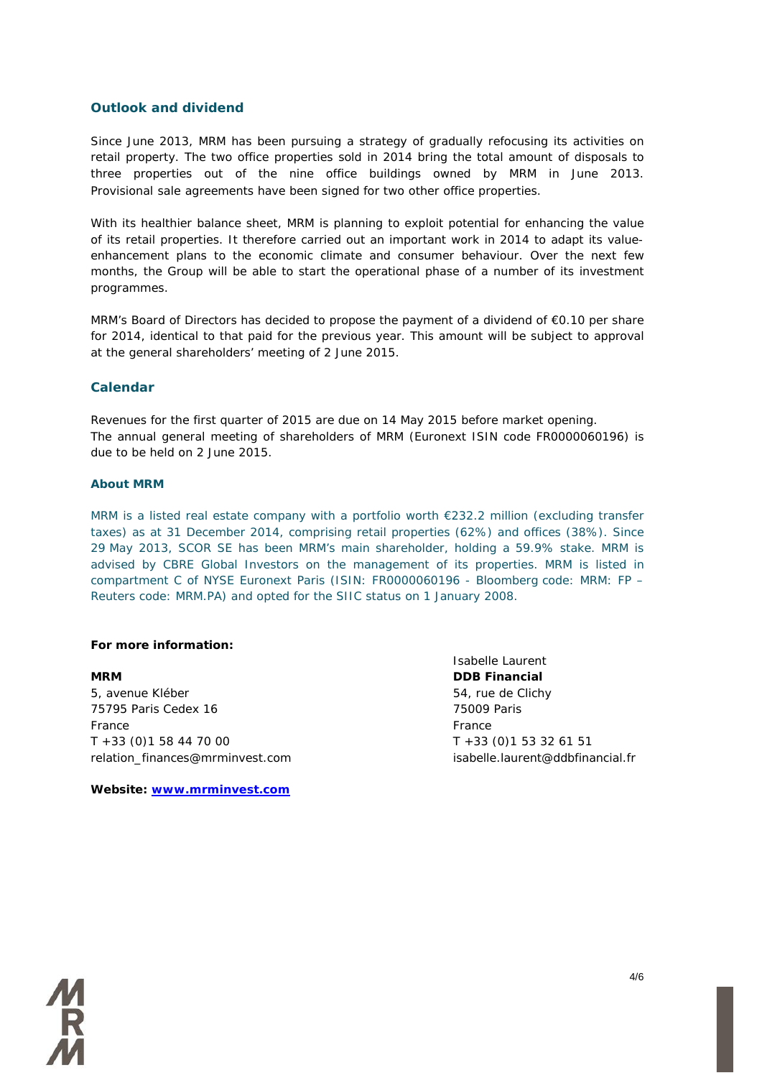#### **Outlook and dividend**

Since June 2013, MRM has been pursuing a strategy of gradually refocusing its activities on retail property. The two office properties sold in 2014 bring the total amount of disposals to three properties out of the nine office buildings owned by MRM in June 2013. Provisional sale agreements have been signed for two other office properties.

With its healthier balance sheet, MRM is planning to exploit potential for enhancing the value of its retail properties. It therefore carried out an important work in 2014 to adapt its valueenhancement plans to the economic climate and consumer behaviour. Over the next few months, the Group will be able to start the operational phase of a number of its investment programmes.

MRM's Board of Directors has decided to propose the payment of a dividend of €0.10 per share for 2014, identical to that paid for the previous year. This amount will be subject to approval at the general shareholders' meeting of 2 June 2015.

#### **Calendar**

Revenues for the first quarter of 2015 are due on 14 May 2015 before market opening. The annual general meeting of shareholders of MRM (Euronext ISIN code FR0000060196) is due to be held on 2 June 2015.

#### **About MRM**

MRM is a listed real estate company with a portfolio worth €232.2 million (excluding transfer taxes) as at 31 December 2014, comprising retail properties (62%) and offices (38%). Since 29 May 2013, SCOR SE has been MRM's main shareholder, holding a 59.9% stake. MRM is advised by CBRE Global Investors on the management of its properties. MRM is listed in compartment C of NYSE Euronext Paris (ISIN: FR0000060196 - Bloomberg code: MRM: FP – Reuters code: MRM.PA) and opted for the SIIC status on 1 January 2008.

#### **For more information:**

**MRM DDB Financial** 5, avenue Kléber 65, avenue Kléber 54, rue de Clichy 75795 Paris Cedex 16 75009 Paris France France T +33 (0)1 58 44 70 00 T +33 (0)1 53 32 61 51 relation\_finances@mrminvest.com isabelle.laurent@ddbfinancial.fr

**Website: [www.mrminvest.com](http://www.mrminvest.com/)**

Isabelle Laurent

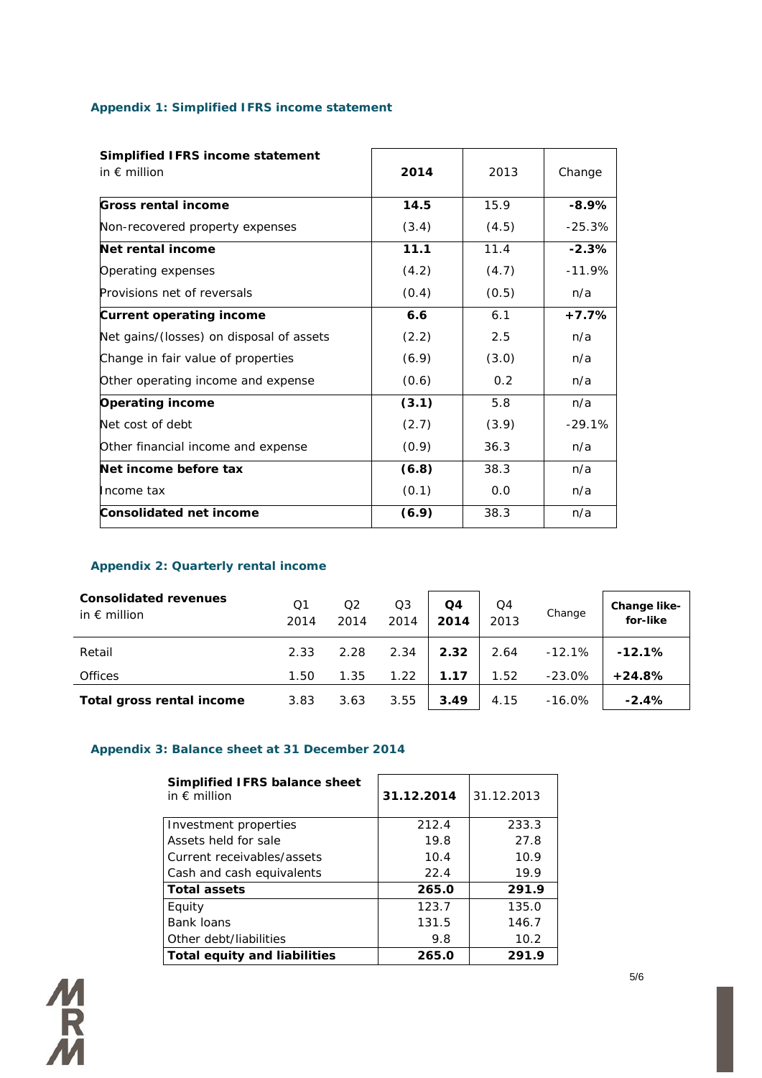# **Appendix 1: Simplified IFRS income statement**

| Simplified IFRS income statement         |       |       |          |
|------------------------------------------|-------|-------|----------|
| in $\epsilon$ million                    | 2014  | 2013  | Change   |
| <b>Gross rental income</b>               | 14.5  | 15.9  | $-8.9%$  |
| Non-recovered property expenses          | (3.4) | (4.5) | $-25.3%$ |
| Net rental income                        | 11.1  | 11.4  | $-2.3%$  |
| Operating expenses                       | (4.2) | (4.7) | $-11.9%$ |
| Provisions net of reversals              | (0.4) | (0.5) | n/a      |
| <b>Current operating income</b>          | 6.6   | 6.1   | $+7.7%$  |
| Net gains/(losses) on disposal of assets | (2.2) | 2.5   | n/a      |
| Change in fair value of properties       | (6.9) | (3.0) | n/a      |
| Other operating income and expense       | (0.6) | 0.2   | n/a      |
| <b>Operating income</b>                  | (3.1) | 5.8   | n/a      |
| Net cost of debt                         | (2.7) | (3.9) | $-29.1%$ |
| Other financial income and expense       | (0.9) | 36.3  | n/a      |
| Net income before tax                    | (6.8) | 38.3  | n/a      |
| Income tax                               | (0.1) | 0.0   | n/a      |
| <b>Consolidated net income</b>           | (6.9) | 38.3  | n/a      |

## **Appendix 2: Quarterly rental income**

| <b>Consolidated revenues</b><br>in $\epsilon$ million | Q1<br>2014 | Q2<br>2014 | Q3<br>2014 | Q4<br>2014 | Q4<br>2013 | Change    | Change like-<br>for-like |
|-------------------------------------------------------|------------|------------|------------|------------|------------|-----------|--------------------------|
| Retail                                                | 2.33       | 2.28       | 2.34       | 2.32       | 2.64       | $-12.1%$  | $-12.1%$                 |
| <b>Offices</b>                                        | 1.50       | 1.35       | 1.22       | 1.17       | 1.52       | $-23.0\%$ | $+24.8%$                 |
| Total gross rental income                             | 3.83       | 3.63       | 3.55       | 3.49       | 4.15       | $-16.0\%$ | $-2.4%$                  |

# **Appendix 3: Balance sheet at 31 December 2014**

| Simplified IFRS balance sheet<br>in $\epsilon$ million | 31.12.2014 | 31.12.2013 |
|--------------------------------------------------------|------------|------------|
| Investment properties                                  | 212.4      | 233.3      |
| Assets held for sale                                   | 19.8       | 27.8       |
| Current receivables/assets                             | 10.4       | 10.9       |
| Cash and cash equivalents                              | 22.4       | 19.9       |
| <b>Total assets</b>                                    | 265.0      | 291.9      |
| Equity                                                 | 123.7      | 135.0      |
| <b>Bank loans</b>                                      | 131.5      | 146.7      |
| Other debt/liabilities                                 | 9.8        | 10.2       |
| Total equity and liabilities                           | 265.0      | 291.9      |